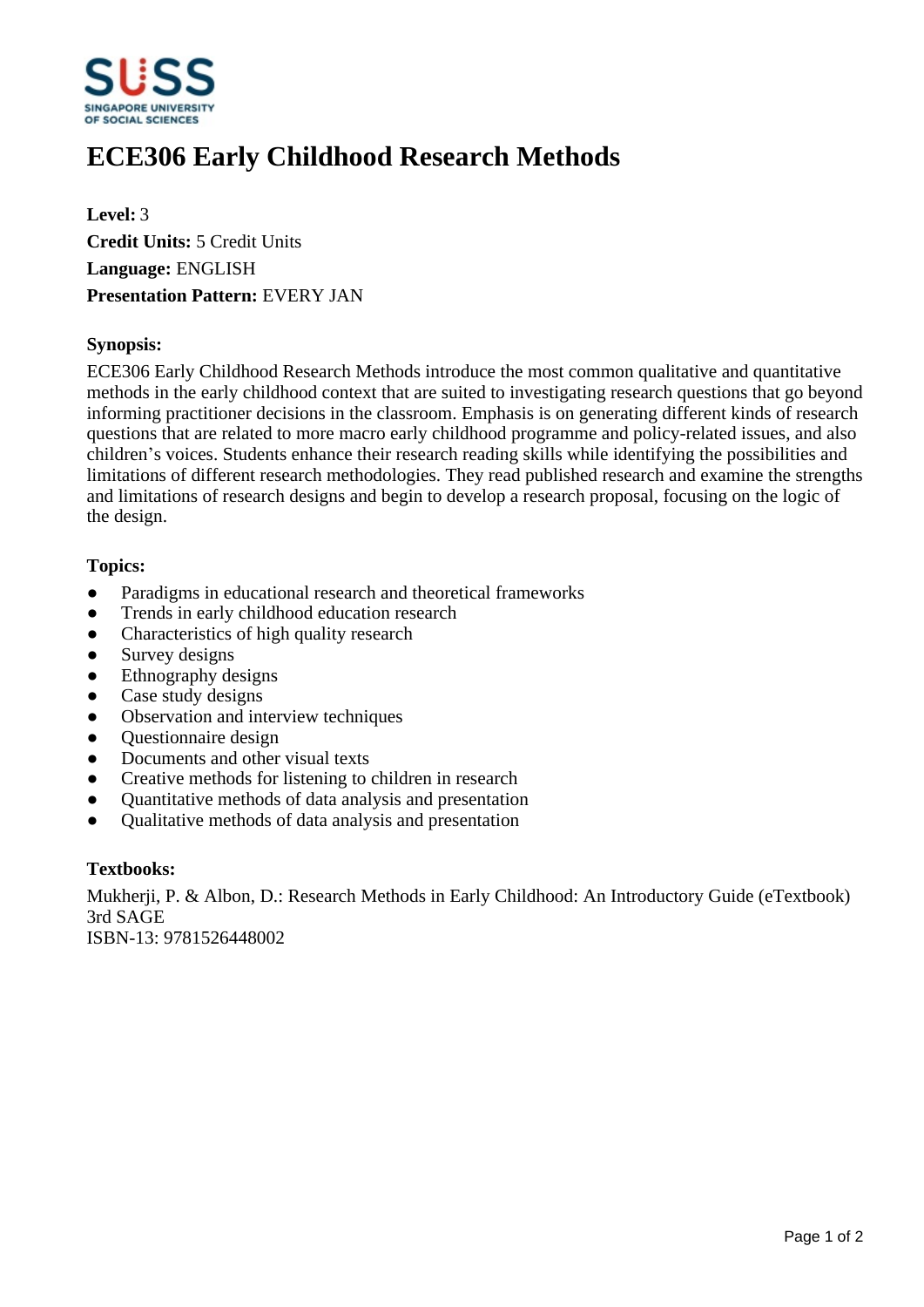

# **ECE306 Early Childhood Research Methods**

**Level:** 3 **Credit Units:** 5 Credit Units **Language:** ENGLISH **Presentation Pattern:** EVERY JAN

## **Synopsis:**

ECE306 Early Childhood Research Methods introduce the most common qualitative and quantitative methods in the early childhood context that are suited to investigating research questions that go beyond informing practitioner decisions in the classroom. Emphasis is on generating different kinds of research questions that are related to more macro early childhood programme and policy-related issues, and also children's voices. Students enhance their research reading skills while identifying the possibilities and limitations of different research methodologies. They read published research and examine the strengths and limitations of research designs and begin to develop a research proposal, focusing on the logic of the design.

## **Topics:**

- Paradigms in educational research and theoretical frameworks
- Trends in early childhood education research
- Characteristics of high quality research
- Survey designs
- Ethnography designs
- Case study designs
- Observation and interview techniques
- Questionnaire design
- Documents and other visual texts
- Creative methods for listening to children in research
- Quantitative methods of data analysis and presentation
- ƔQualitative methods of data analysis and presentation

#### **Textbooks:**

Mukherji, P. & Albon, D.: Research Methods in Early Childhood: An Introductory Guide (eTextbook) 3rd SAGE

ISBN-13: 9781526448002